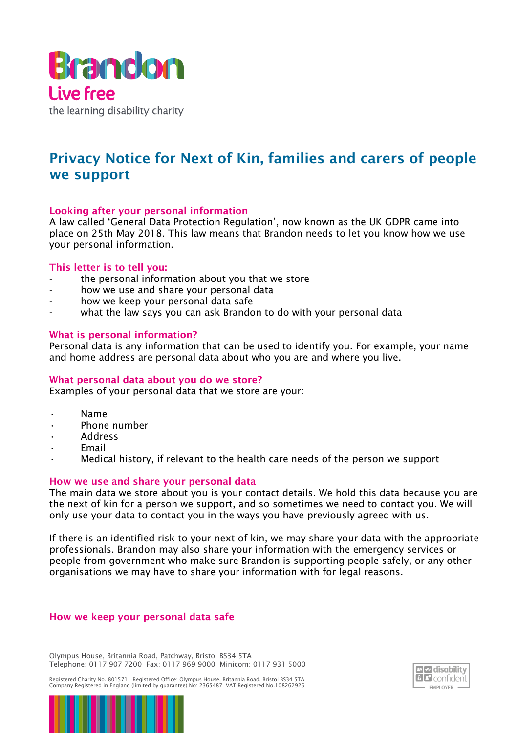

# Privacy Notice for Next of Kin, families and carers of people we support

# Looking after your personal information

A law called 'General Data Protection Regulation', now known as the UK GDPR came into place on 25th May 2018. This law means that Brandon needs to let you know how we use your personal information.

# This letter is to tell you:

- the personal information about you that we store
- how we use and share your personal data
- how we keep your personal data safe
- what the law says you can ask Brandon to do with your personal data

#### What is personal information?

Personal data is any information that can be used to identify you. For example, your name and home address are personal data about who you are and where you live.

# What personal data about you do we store?

Examples of your personal data that we store are your:

- Name
- Phone number
- Address
- **Fmail**
- Medical history, if relevant to the health care needs of the person we support

# How we use and share your personal data

The main data we store about you is your contact details. We hold this data because you are the next of kin for a person we support, and so sometimes we need to contact you. We will only use your data to contact you in the ways you have previously agreed with us.

If there is an identified risk to your next of kin, we may share your data with the appropriate professionals. Brandon may also share your information with the emergency services or people from government who make sure Brandon is supporting people safely, or any other organisations we may have to share your information with for legal reasons.

#### How we keep your personal data safe

Olympus House, Britannia Road, Patchway, Bristol BS34 5TA Telephone: 0117 907 7200 Fax: 0117 969 9000 Minicom: 0117 931 5000

Registered Charity No. 801571 Registered Office: Olympus House, Britannia Road, Bristol BS34 5TA Company Registered in England (limited by guarantee) No: 2365487 VAT Registered No.108262925